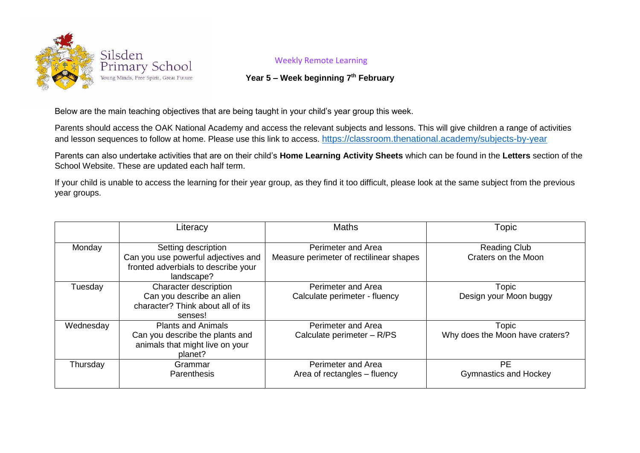

## Weekly Remote Learning

## **Year 5 – Week beginning 7 th February**

Below are the main teaching objectives that are being taught in your child's year group this week.

Parents should access the OAK National Academy and access the relevant subjects and lessons. This will give children a range of activities and lesson sequences to follow at home. Please use this link to access. <https://classroom.thenational.academy/subjects-by-year>

Parents can also undertake activities that are on their child's **Home Learning Activity Sheets** which can be found in the **Letters** section of the School Website. These are updated each half term.

If your child is unable to access the learning for their year group, as they find it too difficult, please look at the same subject from the previous year groups.

|           | Literacy                                                                                                        | <b>Maths</b>                                                  | Topic                                      |
|-----------|-----------------------------------------------------------------------------------------------------------------|---------------------------------------------------------------|--------------------------------------------|
| Monday    | Setting description<br>Can you use powerful adjectives and<br>fronted adverbials to describe your<br>landscape? | Perimeter and Area<br>Measure perimeter of rectilinear shapes | <b>Reading Club</b><br>Craters on the Moon |
| Tuesday   | Character description<br>Can you describe an alien<br>character? Think about all of its<br>senses!              | <b>Perimeter and Area</b><br>Calculate perimeter - fluency    | Topic<br>Design your Moon buggy            |
| Wednesday | <b>Plants and Animals</b><br>Can you describe the plants and<br>animals that might live on your<br>planet?      | <b>Perimeter and Area</b><br>Calculate perimeter - R/PS       | Topic<br>Why does the Moon have craters?   |
| Thursday  | Grammar<br><b>Parenthesis</b>                                                                                   | <b>Perimeter and Area</b><br>Area of rectangles - fluency     | <b>PE</b><br><b>Gymnastics and Hockey</b>  |